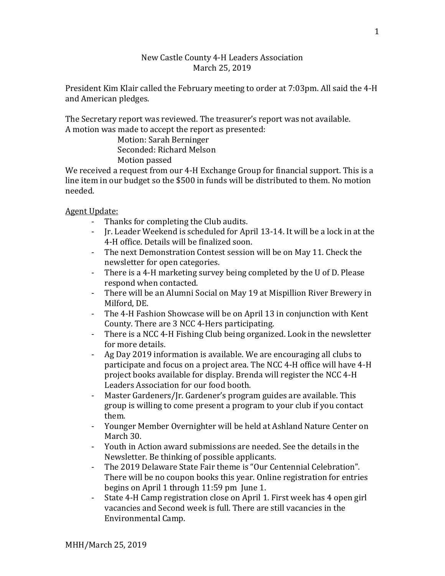## New Castle County 4-H Leaders Association March 25, 2019

President Kim Klair called the February meeting to order at 7:03pm. All said the 4-H and American pledges.

The Secretary report was reviewed. The treasurer's report was not available. A motion was made to accept the report as presented:

> Motion: Sarah Berninger Seconded: Richard Melson Motion passed

We received a request from our 4-H Exchange Group for financial support. This is a line item in our budget so the \$500 in funds will be distributed to them. No motion needed.

Agent Update:

- Thanks for completing the Club audits.
- Jr. Leader Weekend is scheduled for April 13-14. It will be a lock in at the 4-H office. Details will be finalized soon.
- The next Demonstration Contest session will be on May 11. Check the newsletter for open categories.
- There is a 4-H marketing survey being completed by the U of D. Please respond when contacted.
- There will be an Alumni Social on May 19 at Mispillion River Brewery in Milford, DE.
- The 4-H Fashion Showcase will be on April 13 in conjunction with Kent County. There are 3 NCC 4-Hers participating.
- There is a NCC 4-H Fishing Club being organized. Look in the newsletter for more details.
- Ag Day 2019 information is available. We are encouraging all clubs to participate and focus on a project area. The NCC 4-H office will have 4-H project books available for display. Brenda will register the NCC 4-H Leaders Association for our food booth.
- Master Gardeners/Jr. Gardener's program guides are available. This group is willing to come present a program to your club if you contact them.
- Younger Member Overnighter will be held at Ashland Nature Center on March 30.
- Youth in Action award submissions are needed. See the details in the Newsletter. Be thinking of possible applicants.
- The 2019 Delaware State Fair theme is "Our Centennial Celebration". There will be no coupon books this year. Online registration for entries begins on April 1 through 11:59 pm June 1.
- State 4-H Camp registration close on April 1. First week has 4 open girl vacancies and Second week is full. There are still vacancies in the Environmental Camp.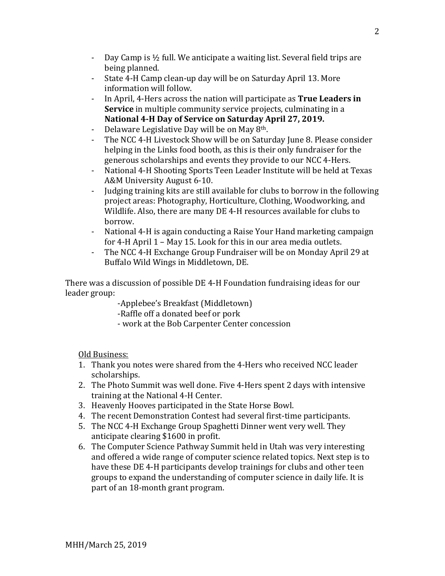- Day Camp is ½ full. We anticipate a waiting list. Several field trips are being planned.
- State 4-H Camp clean-up day will be on Saturday April 13. More information will follow.
- In April, 4-Hers across the nation will participate as **True Leaders in Service** in multiple community service projects, culminating in a **National 4-H Day of Service on Saturday April 27, 2019.**
- Delaware Legislative Day will be on May 8<sup>th</sup>.<br>- The NCC 4-H Livestock Show will be on Satur
- The NCC 4-H Livestock Show will be on Saturday June 8. Please consider helping in the Links food booth, as this is their only fundraiser for the generous scholarships and events they provide to our NCC 4-Hers.
- National 4-H Shooting Sports Teen Leader Institute will be held at Texas A&M University August 6-10.
- Judging training kits are still available for clubs to borrow in the following project areas: Photography, Horticulture, Clothing, Woodworking, and Wildlife. Also, there are many DE 4-H resources available for clubs to borrow.
- National 4-H is again conducting a Raise Your Hand marketing campaign for 4-H April 1 – May 15. Look for this in our area media outlets.
- The NCC 4-H Exchange Group Fundraiser will be on Monday April 29 at Buffalo Wild Wings in Middletown, DE.

There was a discussion of possible DE 4-H Foundation fundraising ideas for our leader group:

-Applebee's Breakfast (Middletown)

- -Raffle off a donated beef or pork
- work at the Bob Carpenter Center concession

Old Business:

- 1. Thank you notes were shared from the 4-Hers who received NCC leader scholarships.
- 2. The Photo Summit was well done. Five 4-Hers spent 2 days with intensive training at the National 4-H Center.
- 3. Heavenly Hooves participated in the State Horse Bowl.
- 4. The recent Demonstration Contest had several first-time participants.
- 5. The NCC 4-H Exchange Group Spaghetti Dinner went very well. They anticipate clearing \$1600 in profit.
- 6. The Computer Science Pathway Summit held in Utah was very interesting and offered a wide range of computer science related topics. Next step is to have these DE 4-H participants develop trainings for clubs and other teen groups to expand the understanding of computer science in daily life. It is part of an 18-month grant program.